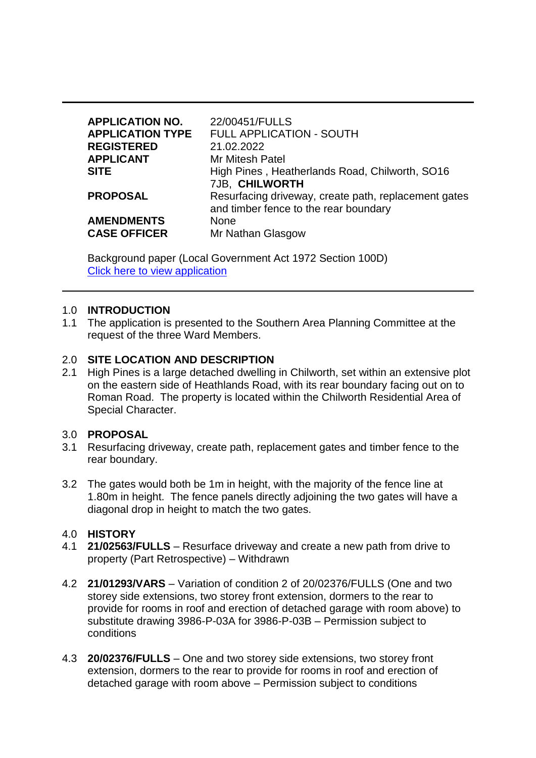| <b>APPLICATION NO.</b><br><b>APPLICATION TYPE</b> | 22/00451/FULLS<br><b>FULL APPLICATION - SOUTH</b>    |
|---------------------------------------------------|------------------------------------------------------|
| <b>REGISTERED</b>                                 | 21.02.2022                                           |
| <b>APPLICANT</b>                                  | <b>Mr Mitesh Patel</b>                               |
| <b>SITE</b>                                       | High Pines, Heatherlands Road, Chilworth, SO16       |
|                                                   | 7JB, CHILWORTH                                       |
| <b>PROPOSAL</b>                                   | Resurfacing driveway, create path, replacement gates |
|                                                   | and timber fence to the rear boundary                |
| <b>AMENDMENTS</b>                                 | None                                                 |
| <b>CASE OFFICER</b>                               | Mr Nathan Glasgow                                    |

Background paper (Local Government Act 1972 Section 100D) [Click here to view application](https://view-applications.testvalley.gov.uk/online-applications/applicationDetails.do?activeTab=summary&keyVal=R7I85NQCLTU00)

#### 1.0 **INTRODUCTION**

1.1 The application is presented to the Southern Area Planning Committee at the request of the three Ward Members.

#### 2.0 **SITE LOCATION AND DESCRIPTION**

2.1 High Pines is a large detached dwelling in Chilworth, set within an extensive plot on the eastern side of Heathlands Road, with its rear boundary facing out on to Roman Road. The property is located within the Chilworth Residential Area of Special Character.

#### 3.0 **PROPOSAL**

- 3.1 Resurfacing driveway, create path, replacement gates and timber fence to the rear boundary.
- 3.2 The gates would both be 1m in height, with the majority of the fence line at 1.80m in height. The fence panels directly adjoining the two gates will have a diagonal drop in height to match the two gates.

#### 4.0 **HISTORY**

- 4.1 **21/02563/FULLS** Resurface driveway and create a new path from drive to property (Part Retrospective) – Withdrawn
- 4.2 **21/01293/VARS** Variation of condition 2 of 20/02376/FULLS (One and two storey side extensions, two storey front extension, dormers to the rear to provide for rooms in roof and erection of detached garage with room above) to substitute drawing 3986-P-03A for 3986-P-03B – Permission subject to conditions
- 4.3 **20/02376/FULLS** One and two storey side extensions, two storey front extension, dormers to the rear to provide for rooms in roof and erection of detached garage with room above – Permission subject to conditions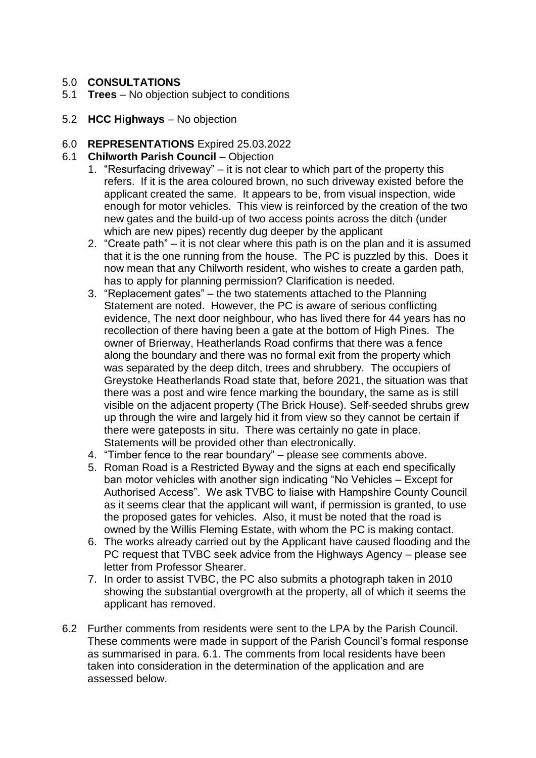## 5.0 **CONSULTATIONS**

- 5.1 **Trees** No objection subject to conditions
- 5.2 **HCC Highways** No objection

#### 6.0 **REPRESENTATIONS** Expired 25.03.2022

#### 6.1 **Chilworth Parish Council** – Objection

- 1. "Resurfacing driveway" it is not clear to which part of the property this refers. If it is the area coloured brown, no such driveway existed before the applicant created the same. It appears to be, from visual inspection, wide enough for motor vehicles. This view is reinforced by the creation of the two new gates and the build-up of two access points across the ditch (under which are new pipes) recently dug deeper by the applicant
- 2. "Create path" it is not clear where this path is on the plan and it is assumed that it is the one running from the house. The PC is puzzled by this. Does it now mean that any Chilworth resident, who wishes to create a garden path, has to apply for planning permission? Clarification is needed.
- 3. "Replacement gates" the two statements attached to the Planning Statement are noted. However, the PC is aware of serious conflicting evidence, The next door neighbour, who has lived there for 44 years has no recollection of there having been a gate at the bottom of High Pines. The owner of Brierway, Heatherlands Road confirms that there was a fence along the boundary and there was no formal exit from the property which was separated by the deep ditch, trees and shrubbery. The occupiers of Greystoke Heatherlands Road state that, before 2021, the situation was that there was a post and wire fence marking the boundary, the same as is still visible on the adjacent property (The Brick House). Self-seeded shrubs grew up through the wire and largely hid it from view so they cannot be certain if there were gateposts in situ. There was certainly no gate in place. Statements will be provided other than electronically.
- 4. "Timber fence to the rear boundary" please see comments above.
- 5. Roman Road is a Restricted Byway and the signs at each end specifically ban motor vehicles with another sign indicating "No Vehicles – Except for Authorised Access". We ask TVBC to liaise with Hampshire County Council as it seems clear that the applicant will want, if permission is granted, to use the proposed gates for vehicles. Also, it must be noted that the road is owned by the Willis Fleming Estate, with whom the PC is making contact.
- 6. The works already carried out by the Applicant have caused flooding and the PC request that TVBC seek advice from the Highways Agency – please see letter from Professor Shearer.
- 7. In order to assist TVBC, the PC also submits a photograph taken in 2010 showing the substantial overgrowth at the property, all of which it seems the applicant has removed.
- 6.2 Further comments from residents were sent to the LPA by the Parish Council. These comments were made in support of the Parish Council's formal response as summarised in para. 6.1. The comments from local residents have been taken into consideration in the determination of the application and are assessed below.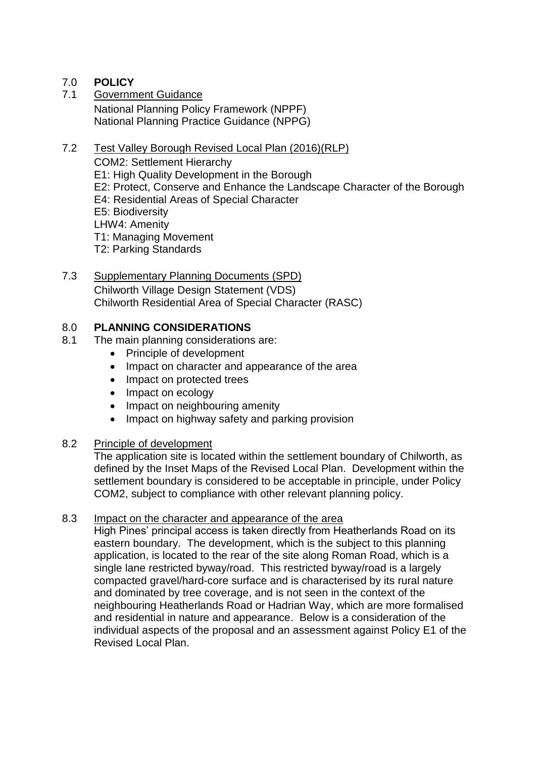## 7.0 **POLICY**

7.1 Government Guidance National Planning Policy Framework (NPPF) National Planning Practice Guidance (NPPG)

#### 7.2 Test Valley Borough Revised Local Plan (2016)(RLP)

COM2: Settlement Hierarchy

- E1: High Quality Development in the Borough
- E2: Protect, Conserve and Enhance the Landscape Character of the Borough
- E4: Residential Areas of Special Character
- E5: Biodiversity
- LHW4: Amenity
- T1: Managing Movement
- T2: Parking Standards

## 7.3 Supplementary Planning Documents (SPD)

Chilworth Village Design Statement (VDS) Chilworth Residential Area of Special Character (RASC)

## 8.0 **PLANNING CONSIDERATIONS**

- 8.1 The main planning considerations are:
	- Principle of development
	- Impact on character and appearance of the area
	- Impact on protected trees
	- Impact on ecology
	- Impact on neighbouring amenity
	- Impact on highway safety and parking provision

#### 8.2 Principle of development

The application site is located within the settlement boundary of Chilworth, as defined by the Inset Maps of the Revised Local Plan. Development within the settlement boundary is considered to be acceptable in principle, under Policy COM2, subject to compliance with other relevant planning policy.

#### 8.3 Impact on the character and appearance of the area

High Pines' principal access is taken directly from Heatherlands Road on its eastern boundary. The development, which is the subject to this planning application, is located to the rear of the site along Roman Road, which is a single lane restricted byway/road. This restricted byway/road is a largely compacted gravel/hard-core surface and is characterised by its rural nature and dominated by tree coverage, and is not seen in the context of the neighbouring Heatherlands Road or Hadrian Way, which are more formalised and residential in nature and appearance. Below is a consideration of the individual aspects of the proposal and an assessment against Policy E1 of the Revised Local Plan.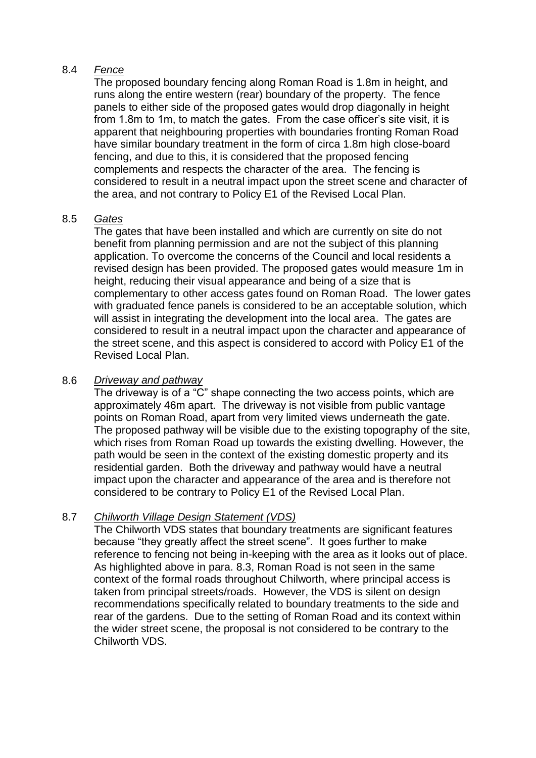#### 8.4 *Fence*

The proposed boundary fencing along Roman Road is 1.8m in height, and runs along the entire western (rear) boundary of the property. The fence panels to either side of the proposed gates would drop diagonally in height from 1.8m to 1m, to match the gates. From the case officer's site visit, it is apparent that neighbouring properties with boundaries fronting Roman Road have similar boundary treatment in the form of circa 1.8m high close-board fencing, and due to this, it is considered that the proposed fencing complements and respects the character of the area. The fencing is considered to result in a neutral impact upon the street scene and character of the area, and not contrary to Policy E1 of the Revised Local Plan.

## 8.5 *Gates*

The gates that have been installed and which are currently on site do not benefit from planning permission and are not the subject of this planning application. To overcome the concerns of the Council and local residents a revised design has been provided. The proposed gates would measure 1m in height, reducing their visual appearance and being of a size that is complementary to other access gates found on Roman Road. The lower gates with graduated fence panels is considered to be an acceptable solution, which will assist in integrating the development into the local area. The gates are considered to result in a neutral impact upon the character and appearance of the street scene, and this aspect is considered to accord with Policy E1 of the Revised Local Plan.

## 8.6 *Driveway and pathway*

The driveway is of a "C" shape connecting the two access points, which are approximately 46m apart. The driveway is not visible from public vantage points on Roman Road, apart from very limited views underneath the gate. The proposed pathway will be visible due to the existing topography of the site, which rises from Roman Road up towards the existing dwelling. However, the path would be seen in the context of the existing domestic property and its residential garden. Both the driveway and pathway would have a neutral impact upon the character and appearance of the area and is therefore not considered to be contrary to Policy E1 of the Revised Local Plan.

## 8.7 *Chilworth Village Design Statement (VDS)*

The Chilworth VDS states that boundary treatments are significant features because "they greatly affect the street scene". It goes further to make reference to fencing not being in-keeping with the area as it looks out of place. As highlighted above in para. 8.3, Roman Road is not seen in the same context of the formal roads throughout Chilworth, where principal access is taken from principal streets/roads. However, the VDS is silent on design recommendations specifically related to boundary treatments to the side and rear of the gardens. Due to the setting of Roman Road and its context within the wider street scene, the proposal is not considered to be contrary to the Chilworth VDS.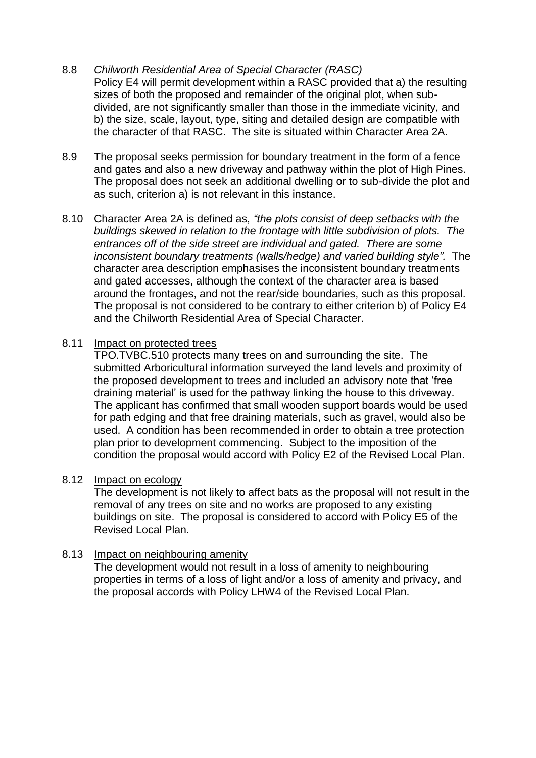#### 8.8 *Chilworth Residential Area of Special Character (RASC)* Policy E4 will permit development within a RASC provided that a) the resulting sizes of both the proposed and remainder of the original plot, when subdivided, are not significantly smaller than those in the immediate vicinity, and b) the size, scale, layout, type, siting and detailed design are compatible with the character of that RASC. The site is situated within Character Area 2A.

- 8.9 The proposal seeks permission for boundary treatment in the form of a fence and gates and also a new driveway and pathway within the plot of High Pines. The proposal does not seek an additional dwelling or to sub-divide the plot and as such, criterion a) is not relevant in this instance.
- 8.10 Character Area 2A is defined as, *"the plots consist of deep setbacks with the buildings skewed in relation to the frontage with little subdivision of plots. The entrances off of the side street are individual and gated. There are some inconsistent boundary treatments (walls/hedge) and varied building style".* The character area description emphasises the inconsistent boundary treatments and gated accesses, although the context of the character area is based around the frontages, and not the rear/side boundaries, such as this proposal. The proposal is not considered to be contrary to either criterion b) of Policy E4 and the Chilworth Residential Area of Special Character.

## 8.11 Impact on protected trees

TPO.TVBC.510 protects many trees on and surrounding the site. The submitted Arboricultural information surveyed the land levels and proximity of the proposed development to trees and included an advisory note that 'free draining material' is used for the pathway linking the house to this driveway. The applicant has confirmed that small wooden support boards would be used for path edging and that free draining materials, such as gravel, would also be used. A condition has been recommended in order to obtain a tree protection plan prior to development commencing. Subject to the imposition of the condition the proposal would accord with Policy E2 of the Revised Local Plan.

## 8.12 Impact on ecology

The development is not likely to affect bats as the proposal will not result in the removal of any trees on site and no works are proposed to any existing buildings on site. The proposal is considered to accord with Policy E5 of the Revised Local Plan.

## 8.13 Impact on neighbouring amenity

The development would not result in a loss of amenity to neighbouring properties in terms of a loss of light and/or a loss of amenity and privacy, and the proposal accords with Policy LHW4 of the Revised Local Plan.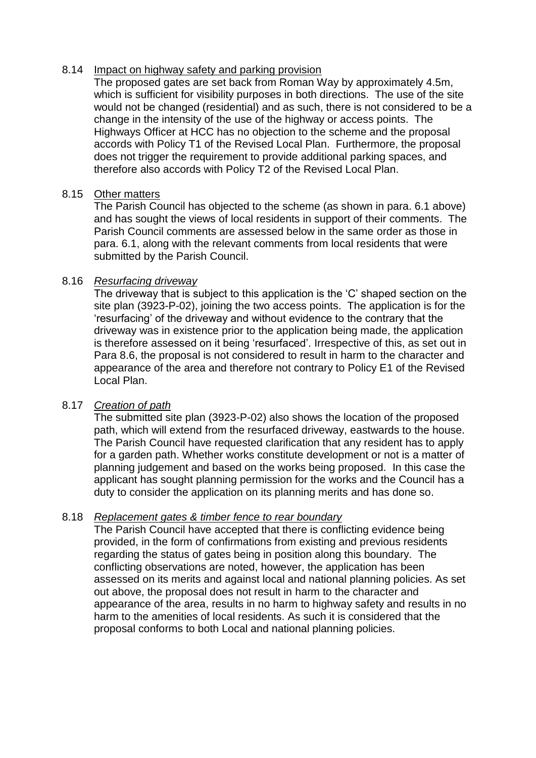#### 8.14 Impact on highway safety and parking provision

The proposed gates are set back from Roman Way by approximately 4.5m, which is sufficient for visibility purposes in both directions. The use of the site would not be changed (residential) and as such, there is not considered to be a change in the intensity of the use of the highway or access points. The Highways Officer at HCC has no objection to the scheme and the proposal accords with Policy T1 of the Revised Local Plan. Furthermore, the proposal does not trigger the requirement to provide additional parking spaces, and therefore also accords with Policy T2 of the Revised Local Plan.

## 8.15 Other matters

The Parish Council has objected to the scheme (as shown in para. 6.1 above) and has sought the views of local residents in support of their comments. The Parish Council comments are assessed below in the same order as those in para. 6.1, along with the relevant comments from local residents that were submitted by the Parish Council.

#### 8.16 *Resurfacing driveway*

The driveway that is subject to this application is the 'C' shaped section on the site plan (3923-P-02), joining the two access points. The application is for the 'resurfacing' of the driveway and without evidence to the contrary that the driveway was in existence prior to the application being made, the application is therefore assessed on it being 'resurfaced'. Irrespective of this, as set out in Para 8.6, the proposal is not considered to result in harm to the character and appearance of the area and therefore not contrary to Policy E1 of the Revised Local Plan.

## 8.17 *Creation of path*

The submitted site plan (3923-P-02) also shows the location of the proposed path, which will extend from the resurfaced driveway, eastwards to the house. The Parish Council have requested clarification that any resident has to apply for a garden path. Whether works constitute development or not is a matter of planning judgement and based on the works being proposed. In this case the applicant has sought planning permission for the works and the Council has a duty to consider the application on its planning merits and has done so.

## 8.18 *Replacement gates & timber fence to rear boundary*

The Parish Council have accepted that there is conflicting evidence being provided, in the form of confirmations from existing and previous residents regarding the status of gates being in position along this boundary. The conflicting observations are noted, however, the application has been assessed on its merits and against local and national planning policies. As set out above, the proposal does not result in harm to the character and appearance of the area, results in no harm to highway safety and results in no harm to the amenities of local residents. As such it is considered that the proposal conforms to both Local and national planning policies.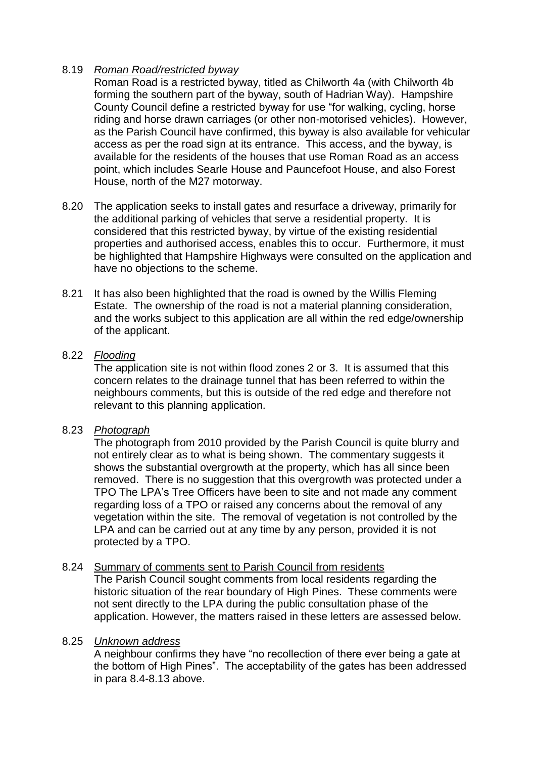#### 8.19 *Roman Road/restricted byway*

Roman Road is a restricted byway, titled as Chilworth 4a (with Chilworth 4b forming the southern part of the byway, south of Hadrian Way). Hampshire County Council define a restricted byway for use "for walking, cycling, horse riding and horse drawn carriages (or other non-motorised vehicles). However, as the Parish Council have confirmed, this byway is also available for vehicular access as per the road sign at its entrance. This access, and the byway, is available for the residents of the houses that use Roman Road as an access point, which includes Searle House and Pauncefoot House, and also Forest House, north of the M27 motorway.

- 8.20 The application seeks to install gates and resurface a driveway, primarily for the additional parking of vehicles that serve a residential property. It is considered that this restricted byway, by virtue of the existing residential properties and authorised access, enables this to occur. Furthermore, it must be highlighted that Hampshire Highways were consulted on the application and have no objections to the scheme.
- 8.21 It has also been highlighted that the road is owned by the Willis Fleming Estate. The ownership of the road is not a material planning consideration, and the works subject to this application are all within the red edge/ownership of the applicant.

#### 8.22 *Flooding*

The application site is not within flood zones 2 or 3. It is assumed that this concern relates to the drainage tunnel that has been referred to within the neighbours comments, but this is outside of the red edge and therefore not relevant to this planning application.

#### 8.23 *Photograph*

The photograph from 2010 provided by the Parish Council is quite blurry and not entirely clear as to what is being shown. The commentary suggests it shows the substantial overgrowth at the property, which has all since been removed. There is no suggestion that this overgrowth was protected under a TPO The LPA's Tree Officers have been to site and not made any comment regarding loss of a TPO or raised any concerns about the removal of any vegetation within the site. The removal of vegetation is not controlled by the LPA and can be carried out at any time by any person, provided it is not protected by a TPO.

#### 8.24 Summary of comments sent to Parish Council from residents

The Parish Council sought comments from local residents regarding the historic situation of the rear boundary of High Pines. These comments were not sent directly to the LPA during the public consultation phase of the application. However, the matters raised in these letters are assessed below.

#### 8.25 *Unknown address*

A neighbour confirms they have "no recollection of there ever being a gate at the bottom of High Pines". The acceptability of the gates has been addressed in para 8.4-8.13 above.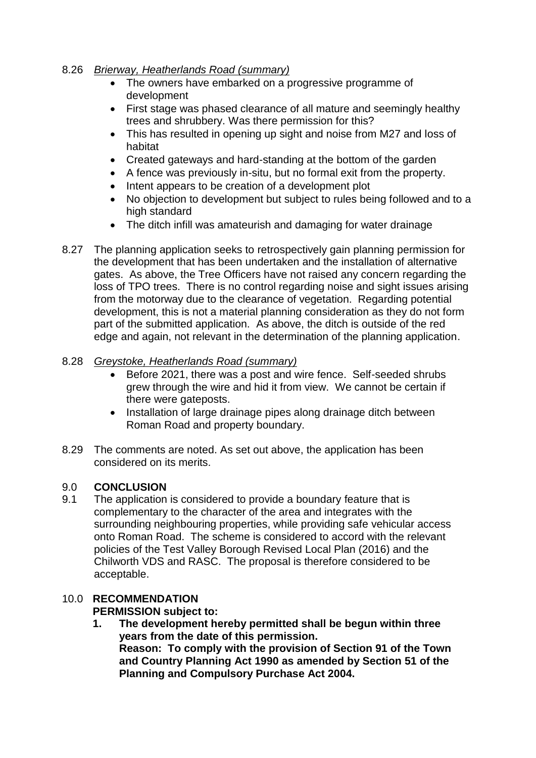#### 8.26 *Brierway, Heatherlands Road (summary)*

- The owners have embarked on a progressive programme of development
- First stage was phased clearance of all mature and seemingly healthy trees and shrubbery. Was there permission for this?
- This has resulted in opening up sight and noise from M27 and loss of habitat
- Created gateways and hard-standing at the bottom of the garden
- A fence was previously in-situ, but no formal exit from the property.
- Intent appears to be creation of a development plot
- No objection to development but subject to rules being followed and to a high standard
- The ditch infill was amateurish and damaging for water drainage
- 8.27 The planning application seeks to retrospectively gain planning permission for the development that has been undertaken and the installation of alternative gates. As above, the Tree Officers have not raised any concern regarding the loss of TPO trees. There is no control regarding noise and sight issues arising from the motorway due to the clearance of vegetation. Regarding potential development, this is not a material planning consideration as they do not form part of the submitted application. As above, the ditch is outside of the red edge and again, not relevant in the determination of the planning application.

## 8.28 *Greystoke, Heatherlands Road (summary)*

- **Before 2021, there was a post and wire fence. Self-seeded shrubs** grew through the wire and hid it from view. We cannot be certain if there were gateposts.
- Installation of large drainage pipes along drainage ditch between Roman Road and property boundary.
- 8.29 The comments are noted. As set out above, the application has been considered on its merits.

## 9.0 **CONCLUSION**

9.1 The application is considered to provide a boundary feature that is complementary to the character of the area and integrates with the surrounding neighbouring properties, while providing safe vehicular access onto Roman Road. The scheme is considered to accord with the relevant policies of the Test Valley Borough Revised Local Plan (2016) and the Chilworth VDS and RASC. The proposal is therefore considered to be acceptable.

# 10.0 **RECOMMENDATION**

## **PERMISSION subject to:**

**1. The development hereby permitted shall be begun within three years from the date of this permission. Reason: To comply with the provision of Section 91 of the Town and Country Planning Act 1990 as amended by Section 51 of the Planning and Compulsory Purchase Act 2004.**